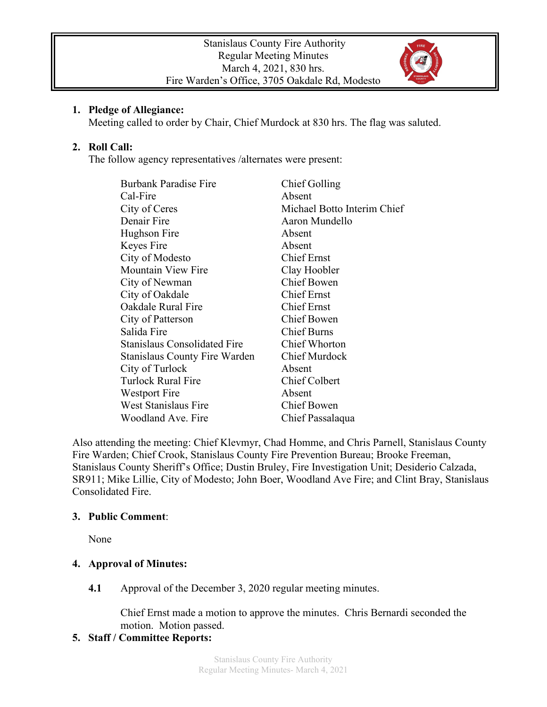

#### **1. Pledge of Allegiance:**

Meeting called to order by Chair, Chief Murdock at 830 hrs. The flag was saluted.

### **2. Roll Call:**

The follow agency representatives /alternates were present:

| <b>Burbank Paradise Fire</b>         | Chief Golling               |
|--------------------------------------|-----------------------------|
| Cal-Fire                             | Absent                      |
| City of Ceres                        | Michael Botto Interim Chief |
| Denair Fire                          | Aaron Mundello              |
| Hughson Fire                         | Absent                      |
| Keyes Fire                           | Absent                      |
| City of Modesto                      | <b>Chief Ernst</b>          |
| <b>Mountain View Fire</b>            | Clay Hoobler                |
| City of Newman                       | <b>Chief Bowen</b>          |
| City of Oakdale                      | <b>Chief Ernst</b>          |
| Oakdale Rural Fire                   | <b>Chief Ernst</b>          |
| City of Patterson                    | Chief Bowen                 |
| Salida Fire                          | <b>Chief Burns</b>          |
| <b>Stanislaus Consolidated Fire</b>  | <b>Chief Whorton</b>        |
| <b>Stanislaus County Fire Warden</b> | Chief Murdock               |
| City of Turlock                      | Absent                      |
| <b>Turlock Rural Fire</b>            | <b>Chief Colbert</b>        |
| Westport Fire                        | Absent                      |
| West Stanislaus Fire                 | <b>Chief Bowen</b>          |
| Woodland Ave. Fire                   | Chief Passalaqua            |

Also attending the meeting: Chief Klevmyr, Chad Homme, and Chris Parnell, Stanislaus County Fire Warden; Chief Crook, Stanislaus County Fire Prevention Bureau; Brooke Freeman, Stanislaus County Sheriff's Office; Dustin Bruley, Fire Investigation Unit; Desiderio Calzada, SR911; Mike Lillie, City of Modesto; John Boer, Woodland Ave Fire; and Clint Bray, Stanislaus Consolidated Fire.

#### **3. Public Comment**:

None

# **4. Approval of Minutes:**

**4.1** Approval of the December 3, 2020 regular meeting minutes.

Chief Ernst made a motion to approve the minutes. Chris Bernardi seconded the motion. Motion passed.

# **5. Staff / Committee Reports:**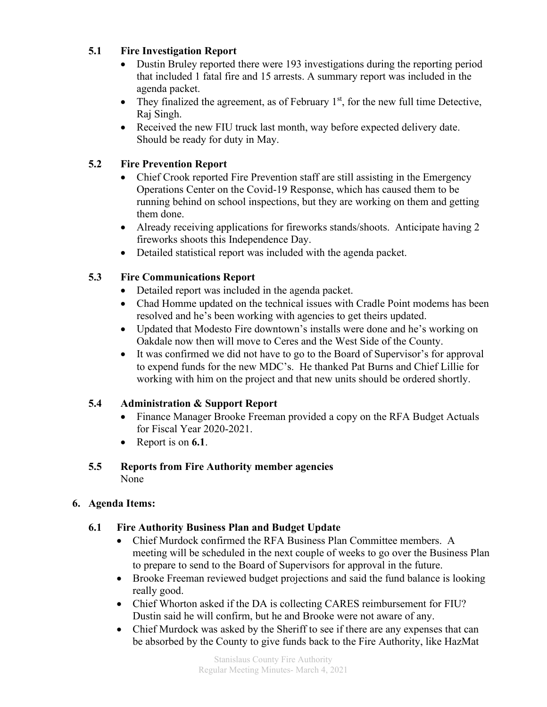#### **5.1 Fire Investigation Report**

- Dustin Bruley reported there were 193 investigations during the reporting period that included 1 fatal fire and 15 arrests. A summary report was included in the agenda packet.
- They finalized the agreement, as of February  $1<sup>st</sup>$ , for the new full time Detective, Raj Singh.
- Received the new FIU truck last month, way before expected delivery date. Should be ready for duty in May.

### **5.2 Fire Prevention Report**

- Chief Crook reported Fire Prevention staff are still assisting in the Emergency Operations Center on the Covid-19 Response, which has caused them to be running behind on school inspections, but they are working on them and getting them done.
- Already receiving applications for fireworks stands/shoots. Anticipate having 2 fireworks shoots this Independence Day.
- Detailed statistical report was included with the agenda packet.

# **5.3 Fire Communications Report**

- Detailed report was included in the agenda packet.
- Chad Homme updated on the technical issues with Cradle Point modems has been resolved and he's been working with agencies to get theirs updated.
- Updated that Modesto Fire downtown's installs were done and he's working on Oakdale now then will move to Ceres and the West Side of the County.
- It was confirmed we did not have to go to the Board of Supervisor's for approval to expend funds for the new MDC's. He thanked Pat Burns and Chief Lillie for working with him on the project and that new units should be ordered shortly.

# **5.4 Administration & Support Report**

- Finance Manager Brooke Freeman provided a copy on the RFA Budget Actuals for Fiscal Year 2020-2021.
- Report is on **6.1**.

#### **5.5 Reports from Fire Authority member agencies** None

# **6. Agenda Items:**

# **6.1 Fire Authority Business Plan and Budget Update**

- Chief Murdock confirmed the RFA Business Plan Committee members. A meeting will be scheduled in the next couple of weeks to go over the Business Plan to prepare to send to the Board of Supervisors for approval in the future.
- Brooke Freeman reviewed budget projections and said the fund balance is looking really good.
- Chief Whorton asked if the DA is collecting CARES reimbursement for FIU? Dustin said he will confirm, but he and Brooke were not aware of any.
- Chief Murdock was asked by the Sheriff to see if there are any expenses that can be absorbed by the County to give funds back to the Fire Authority, like HazMat